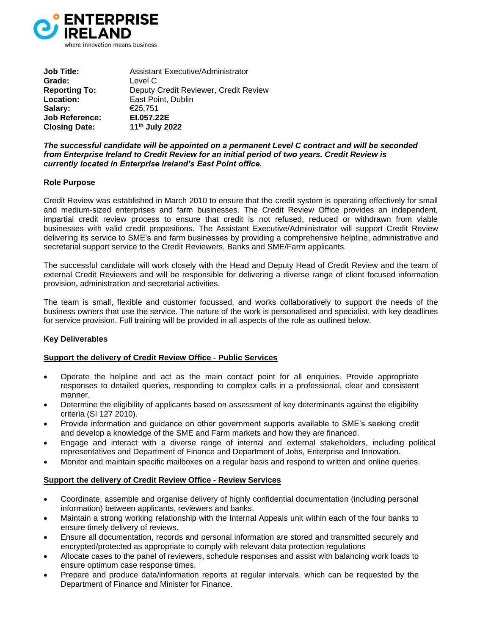

**Job Title:** Assistant Executive/Administrator **Grade:** Level C **Reporting To:** Deputy Credit Reviewer, Credit Review **Location:** East Point, Dublin **Salary:** €25,751 **Job Reference: EI.057.22E Closing Date: 11th July 2022**

*The successful candidate will be appointed on a permanent Level C contract and will be seconded from Enterprise Ireland to Credit Review for an initial period of two years. Credit Review is currently located in Enterprise Ireland's East Point office.*

# **Role Purpose**

Credit Review was established in March 2010 to ensure that the credit system is operating effectively for small and medium-sized enterprises and farm businesses. The Credit Review Office provides an independent, impartial credit review process to ensure that credit is not refused, reduced or withdrawn from viable businesses with valid credit propositions. The Assistant Executive/Administrator will support Credit Review delivering its service to SME's and farm businesses by providing a comprehensive helpline, administrative and secretarial support service to the Credit Reviewers, Banks and SME/Farm applicants.

The successful candidate will work closely with the Head and Deputy Head of Credit Review and the team of external Credit Reviewers and will be responsible for delivering a diverse range of client focused information provision, administration and secretarial activities.

The team is small, flexible and customer focussed, and works collaboratively to support the needs of the business owners that use the service. The nature of the work is personalised and specialist, with key deadlines for service provision. Full training will be provided in all aspects of the role as outlined below.

# **Key Deliverables**

# **Support the delivery of Credit Review Office - Public Services**

- Operate the helpline and act as the main contact point for all enquiries. Provide appropriate responses to detailed queries, responding to complex calls in a professional, clear and consistent manner.
- Determine the eligibility of applicants based on assessment of key determinants against the eligibility criteria (SI 127 2010).
- Provide information and guidance on other government supports available to SME's seeking credit and develop a knowledge of the SME and Farm markets and how they are financed.
- Engage and interact with a diverse range of internal and external stakeholders, including political representatives and Department of Finance and Department of Jobs, Enterprise and Innovation.
- Monitor and maintain specific mailboxes on a regular basis and respond to written and online queries.

# **Support the delivery of Credit Review Office - Review Services**

- Coordinate, assemble and organise delivery of highly confidential documentation (including personal information) between applicants, reviewers and banks.
- Maintain a strong working relationship with the Internal Appeals unit within each of the four banks to ensure timely delivery of reviews.
- Ensure all documentation, records and personal information are stored and transmitted securely and encrypted/protected as appropriate to comply with relevant data protection regulations
- Allocate cases to the panel of reviewers, schedule responses and assist with balancing work loads to ensure optimum case response times.
- Prepare and produce data/information reports at regular intervals, which can be requested by the Department of Finance and Minister for Finance.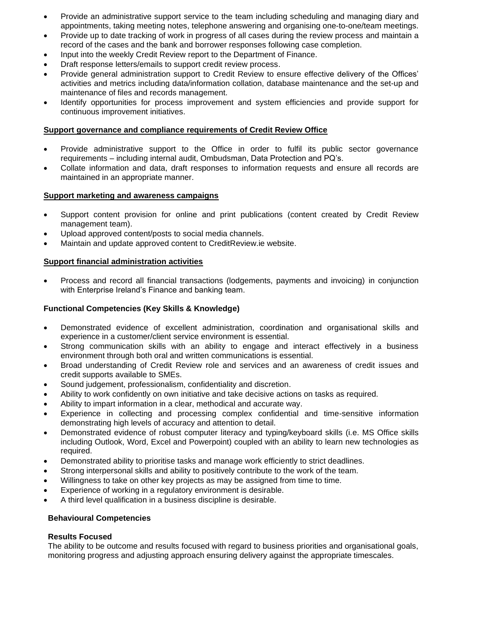- Provide an administrative support service to the team including scheduling and managing diary and appointments, taking meeting notes, telephone answering and organising one-to-one/team meetings.
- Provide up to date tracking of work in progress of all cases during the review process and maintain a record of the cases and the bank and borrower responses following case completion.
- Input into the weekly Credit Review report to the Department of Finance.
- Draft response letters/emails to support credit review process.
- Provide general administration support to Credit Review to ensure effective delivery of the Offices' activities and metrics including data/information collation, database maintenance and the set-up and maintenance of files and records management.
- Identify opportunities for process improvement and system efficiencies and provide support for continuous improvement initiatives.

# **Support governance and compliance requirements of Credit Review Office**

- Provide administrative support to the Office in order to fulfil its public sector governance requirements – including internal audit, Ombudsman, Data Protection and PQ's.
- Collate information and data, draft responses to information requests and ensure all records are maintained in an appropriate manner.

# **Support marketing and awareness campaigns**

- Support content provision for online and print publications (content created by Credit Review management team).
- Upload approved content/posts to social media channels.
- Maintain and update approved content to CreditReview.ie website.

# **Support financial administration activities**

• Process and record all financial transactions (lodgements, payments and invoicing) in conjunction with Enterprise Ireland's Finance and banking team.

# **Functional Competencies (Key Skills & Knowledge)**

- Demonstrated evidence of excellent administration, coordination and organisational skills and experience in a customer/client service environment is essential.
- Strong communication skills with an ability to engage and interact effectively in a business environment through both oral and written communications is essential.
- Broad understanding of Credit Review role and services and an awareness of credit issues and credit supports available to SMEs.
- Sound judgement, professionalism, confidentiality and discretion.
- Ability to work confidently on own initiative and take decisive actions on tasks as required.
- Ability to impart information in a clear, methodical and accurate way.
- Experience in collecting and processing complex confidential and time-sensitive information demonstrating high levels of accuracy and attention to detail.
- Demonstrated evidence of robust computer literacy and typing/keyboard skills (i.e. MS Office skills including Outlook, Word, Excel and Powerpoint) coupled with an ability to learn new technologies as required.
- Demonstrated ability to prioritise tasks and manage work efficiently to strict deadlines.
- Strong interpersonal skills and ability to positively contribute to the work of the team.
- Willingness to take on other key projects as may be assigned from time to time.
- Experience of working in a regulatory environment is desirable.
- A third level qualification in a business discipline is desirable.

# **Behavioural Competencies**

# **Results Focused**

The ability to be outcome and results focused with regard to business priorities and organisational goals, monitoring progress and adjusting approach ensuring delivery against the appropriate timescales.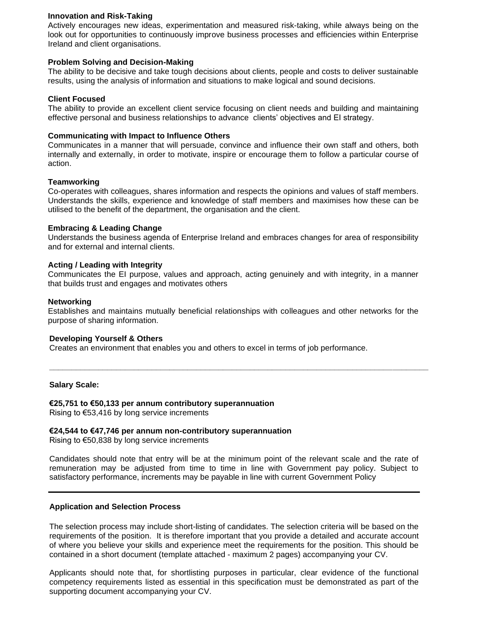# **Innovation and Risk-Taking**

Actively encourages new ideas, experimentation and measured risk-taking, while always being on the look out for opportunities to continuously improve business processes and efficiencies within Enterprise Ireland and client organisations.

# **Problem Solving and Decision-Making**

The ability to be decisive and take tough decisions about clients, people and costs to deliver sustainable results, using the analysis of information and situations to make logical and sound decisions.

## **Client Focused**

The ability to provide an excellent client service focusing on client needs and building and maintaining effective personal and business relationships to advance clients' objectives and EI strategy.

#### **Communicating with Impact to Influence Others**

Communicates in a manner that will persuade, convince and influence their own staff and others, both internally and externally, in order to motivate, inspire or encourage them to follow a particular course of action.

#### **Teamworking**

Co-operates with colleagues, shares information and respects the opinions and values of staff members. Understands the skills, experience and knowledge of staff members and maximises how these can be utilised to the benefit of the department, the organisation and the client.

#### **Embracing & Leading Change**

Understands the business agenda of Enterprise Ireland and embraces changes for area of responsibility and for external and internal clients.

#### **Acting / Leading with Integrity**

Communicates the EI purpose, values and approach, acting genuinely and with integrity, in a manner that builds trust and engages and motivates others

#### **Networking**

Establishes and maintains mutually beneficial relationships with colleagues and other networks for the purpose of sharing information.

**\_\_\_\_\_\_\_\_\_\_\_\_\_\_\_\_\_\_\_\_\_\_\_\_\_\_\_\_\_\_\_\_\_\_\_\_\_\_\_\_\_\_\_\_\_\_\_\_\_\_\_\_\_\_\_\_\_\_\_\_\_\_\_\_\_\_\_\_\_\_\_\_\_\_\_\_\_\_\_\_\_\_\_\_\_**

#### **Developing Yourself & Others**

Creates an environment that enables you and others to excel in terms of job performance.

#### **Salary Scale:**

#### **€25,751 to €50,133 per annum contributory superannuation**

Rising to €53,416 by long service increments

#### **€24,544 to €47,746 per annum non-contributory superannuation**

Rising to €50,838 by long service increments

Candidates should note that entry will be at the minimum point of the relevant scale and the rate of remuneration may be adjusted from time to time in line with Government pay policy. Subject to satisfactory performance, increments may be payable in line with current Government Policy

## **Application and Selection Process**

The selection process may include short-listing of candidates. The selection criteria will be based on the requirements of the position. It is therefore important that you provide a detailed and accurate account of where you believe your skills and experience meet the requirements for the position. This should be contained in a short document (template attached - maximum 2 pages) accompanying your CV.

Applicants should note that, for shortlisting purposes in particular, clear evidence of the functional competency requirements listed as essential in this specification must be demonstrated as part of the supporting document accompanying your CV.